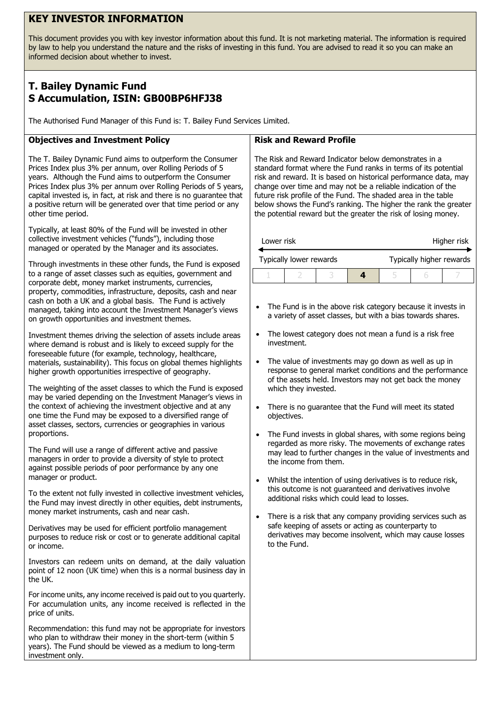## **KEY INVESTOR INFORMATION**

This document provides you with key investor information about this fund. It is not marketing material. The information is required by law to help you understand the nature and the risks of investing in this fund. You are advised to read it so you can make an informed decision about whether to invest.

# **T. Bailey Dynamic Fund S Accumulation, ISIN: GB00BP6HFJ38**

The Authorised Fund Manager of this Fund is: T. Bailey Fund Services Limited.

### **Objectives and Investment Policy**

The T. Bailey Dynamic Fund aims to outperform the Consumer Prices Index plus 3% per annum, over Rolling Periods of 5 years. Although the Fund aims to outperform the Consumer Prices Index plus 3% per annum over Rolling Periods of 5 years, capital invested is, in fact, at risk and there is no guarantee that a positive return will be generated over that time period or any other time period.

Typically, at least 80% of the Fund will be invested in other collective investment vehicles ("funds"), including those managed or operated by the Manager and its associates.

Through investments in these other funds, the Fund is exposed to a range of asset classes such as equities, government and corporate debt, money market instruments, currencies, property, commodities, infrastructure, deposits, cash and near cash on both a UK and a global basis. The Fund is actively managed, taking into account the Investment Manager's views on growth opportunities and investment themes.

Investment themes driving the selection of assets include areas where demand is robust and is likely to exceed supply for the foreseeable future (for example, technology, healthcare, materials, sustainability). This focus on global themes highlights higher growth opportunities irrespective of geography.

The weighting of the asset classes to which the Fund is exposed may be varied depending on the Investment Manager's views in the context of achieving the investment objective and at any one time the Fund may be exposed to a diversified range of asset classes, sectors, currencies or geographies in various proportions.

The Fund will use a range of different active and passive managers in order to provide a diversity of style to protect against possible periods of poor performance by any one manager or product.

To the extent not fully invested in collective investment vehicles, the Fund may invest directly in other equities, debt instruments, money market instruments, cash and near cash.

Derivatives may be used for efficient portfolio management purposes to reduce risk or cost or to generate additional capital or income.

Investors can redeem units on demand, at the daily valuation point of 12 noon (UK time) when this is a normal business day in the UK.

For income units, any income received is paid out to you quarterly. For accumulation units, any income received is reflected in the price of units.

Recommendation: this fund may not be appropriate for investors who plan to withdraw their money in the short-term (within 5 years). The Fund should be viewed as a medium to long-term investment only.

#### **Risk and Reward Profile**

The Risk and Reward Indicator below demonstrates in a standard format where the Fund ranks in terms of its potential risk and reward. It is based on historical performance data, may change over time and may not be a reliable indication of the future risk profile of the Fund. The shaded area in the table below shows the Fund's ranking. The higher the rank the greater the potential reward but the greater the risk of losing money.

| Lower risk              |  |  | Higher risk |                          |  |  |
|-------------------------|--|--|-------------|--------------------------|--|--|
| Typically lower rewards |  |  |             | Typically higher rewards |  |  |
|                         |  |  |             |                          |  |  |

- The Fund is in the above risk category because it invests in a variety of asset classes, but with a bias towards shares.
- The lowest category does not mean a fund is a risk free investment.
- The value of investments may go down as well as up in response to general market conditions and the performance of the assets held. Investors may not get back the money which they invested.
- There is no guarantee that the Fund will meet its stated objectives.
- The Fund invests in global shares, with some regions being regarded as more risky. The movements of exchange rates may lead to further changes in the value of investments and the income from them.
- Whilst the intention of using derivatives is to reduce risk, this outcome is not guaranteed and derivatives involve additional risks which could lead to losses.
- There is a risk that any company providing services such as safe keeping of assets or acting as counterparty to derivatives may become insolvent, which may cause losses to the Fund.